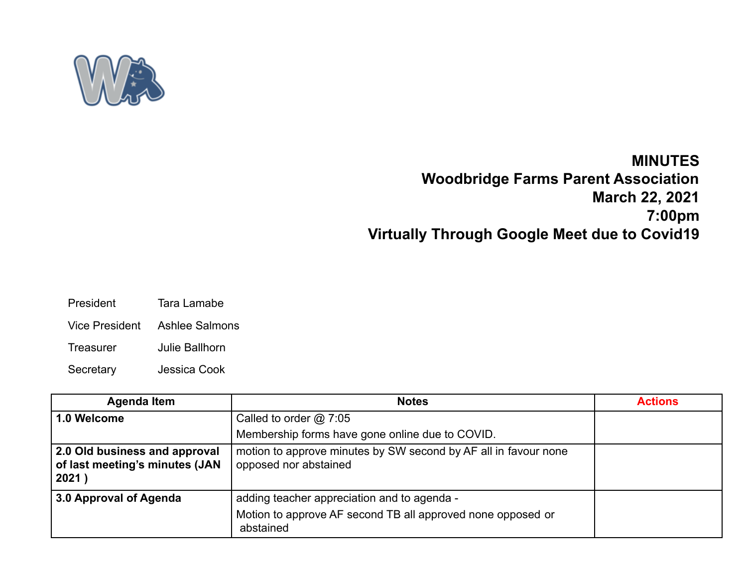

## **MINUTES Woodbridge Farms Parent Association March 22, 2021 7:00pm Virtually Through Google Meet due to Covid19**

- President Tara Lamabe
- Vice President Ashlee Salmons
- Treasurer Julie Ballhorn
- Secretary Jessica Cook

| <b>Agenda Item</b>                                                       | <b>Notes</b>                                                                             | <b>Actions</b> |
|--------------------------------------------------------------------------|------------------------------------------------------------------------------------------|----------------|
| 1.0 Welcome                                                              | Called to order $@$ 7:05                                                                 |                |
|                                                                          | Membership forms have gone online due to COVID.                                          |                |
| 2.0 Old business and approval<br>of last meeting's minutes (JAN<br>2021) | motion to approve minutes by SW second by AF all in favour none<br>opposed nor abstained |                |
| 3.0 Approval of Agenda                                                   | adding teacher appreciation and to agenda -                                              |                |
|                                                                          | Motion to approve AF second TB all approved none opposed or<br>abstained                 |                |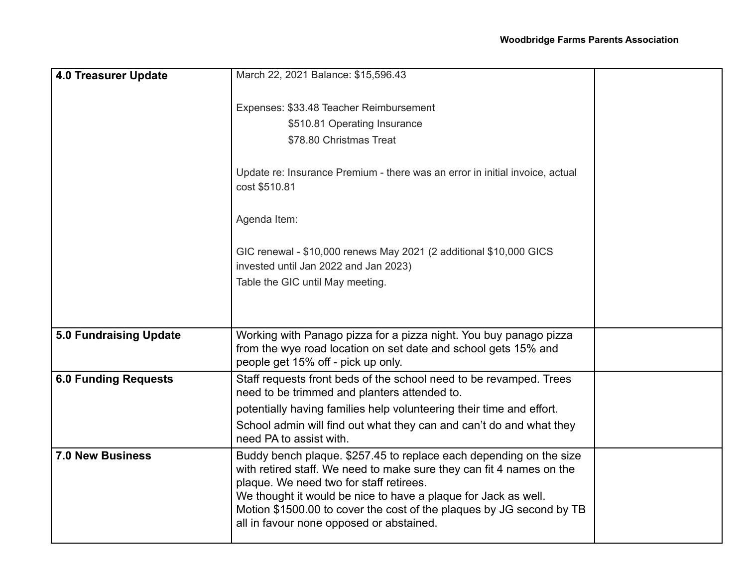| <b>4.0 Treasurer Update</b>   | March 22, 2021 Balance: \$15,596.43                                                                                                                                                                                                                                                                                                                                         |  |
|-------------------------------|-----------------------------------------------------------------------------------------------------------------------------------------------------------------------------------------------------------------------------------------------------------------------------------------------------------------------------------------------------------------------------|--|
|                               |                                                                                                                                                                                                                                                                                                                                                                             |  |
|                               | Expenses: \$33.48 Teacher Reimbursement                                                                                                                                                                                                                                                                                                                                     |  |
|                               | \$510.81 Operating Insurance                                                                                                                                                                                                                                                                                                                                                |  |
|                               | \$78.80 Christmas Treat                                                                                                                                                                                                                                                                                                                                                     |  |
|                               | Update re: Insurance Premium - there was an error in initial invoice, actual<br>cost \$510.81                                                                                                                                                                                                                                                                               |  |
|                               | Agenda Item:                                                                                                                                                                                                                                                                                                                                                                |  |
|                               | GIC renewal - \$10,000 renews May 2021 (2 additional \$10,000 GICS<br>invested until Jan 2022 and Jan 2023)                                                                                                                                                                                                                                                                 |  |
|                               | Table the GIC until May meeting.                                                                                                                                                                                                                                                                                                                                            |  |
|                               |                                                                                                                                                                                                                                                                                                                                                                             |  |
| <b>5.0 Fundraising Update</b> | Working with Panago pizza for a pizza night. You buy panago pizza<br>from the wye road location on set date and school gets 15% and<br>people get 15% off - pick up only.                                                                                                                                                                                                   |  |
| <b>6.0 Funding Requests</b>   | Staff requests front beds of the school need to be revamped. Trees<br>need to be trimmed and planters attended to.                                                                                                                                                                                                                                                          |  |
|                               | potentially having families help volunteering their time and effort.                                                                                                                                                                                                                                                                                                        |  |
|                               | School admin will find out what they can and can't do and what they<br>need PA to assist with.                                                                                                                                                                                                                                                                              |  |
| <b>7.0 New Business</b>       | Buddy bench plaque. \$257.45 to replace each depending on the size<br>with retired staff. We need to make sure they can fit 4 names on the<br>plaque. We need two for staff retirees.<br>We thought it would be nice to have a plaque for Jack as well.<br>Motion \$1500.00 to cover the cost of the plaques by JG second by TB<br>all in favour none opposed or abstained. |  |